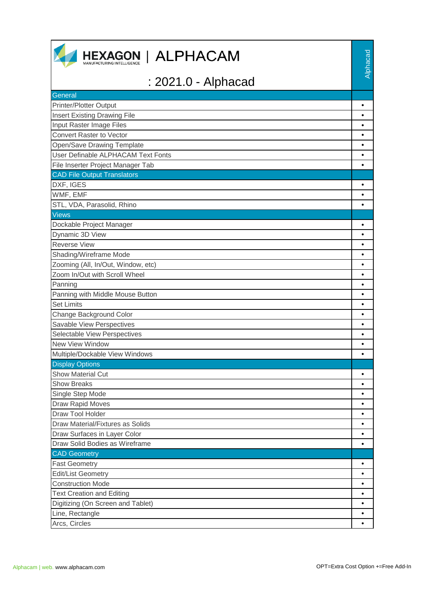| <b>HEXAGON   ALPHACAM</b>           | Alphacad  |
|-------------------------------------|-----------|
| : 2021.0 - Alphacad                 |           |
| General                             |           |
| Printer/Plotter Output              | $\bullet$ |
| <b>Insert Existing Drawing File</b> | $\bullet$ |
| Input Raster Image Files            | ٠         |
| <b>Convert Raster to Vector</b>     | $\bullet$ |
| Open/Save Drawing Template          | $\bullet$ |
| User Definable ALPHACAM Text Fonts  | $\bullet$ |
| File Inserter Project Manager Tab   | $\bullet$ |
| <b>CAD File Output Translators</b>  |           |
| DXF, IGES                           | ٠         |
| WMF, EMF                            | $\bullet$ |
| STL, VDA, Parasolid, Rhino          | $\bullet$ |
| <b>Views</b>                        |           |
| Dockable Project Manager            | $\bullet$ |
| Dynamic 3D View                     | $\bullet$ |
| <b>Reverse View</b>                 | $\bullet$ |
| Shading/Wireframe Mode              | $\bullet$ |
| Zooming (All, In/Out, Window, etc)  | $\bullet$ |
| Zoom In/Out with Scroll Wheel       | $\bullet$ |
| Panning                             | ٠         |
| Panning with Middle Mouse Button    | $\bullet$ |
| <b>Set Limits</b>                   | $\bullet$ |
| Change Background Color             | $\bullet$ |
| Savable View Perspectives           | $\bullet$ |
| Selectable View Perspectives        | $\bullet$ |
| <b>New View Window</b>              |           |
| Multiple/Dockable View Windows      |           |
| <b>Display Options</b>              |           |
| <b>Show Material Cut</b>            | $\bullet$ |
| <b>Show Breaks</b>                  | $\bullet$ |
| Single Step Mode                    | $\bullet$ |
| Draw Rapid Moves                    | ٠         |
| Draw Tool Holder                    | $\bullet$ |
| Draw Material/Fixtures as Solids    | $\bullet$ |
| Draw Surfaces in Layer Color        | $\bullet$ |
| Draw Solid Bodies as Wireframe      | $\bullet$ |
| <b>CAD Geometry</b>                 |           |
| <b>Fast Geometry</b>                | $\bullet$ |
| Edit/List Geometry                  | $\bullet$ |
| <b>Construction Mode</b>            | $\bullet$ |
| <b>Text Creation and Editing</b>    | ٠         |
| Digitizing (On Screen and Tablet)   | $\bullet$ |
| Line, Rectangle                     | $\bullet$ |
| Arcs, Circles                       | ٠         |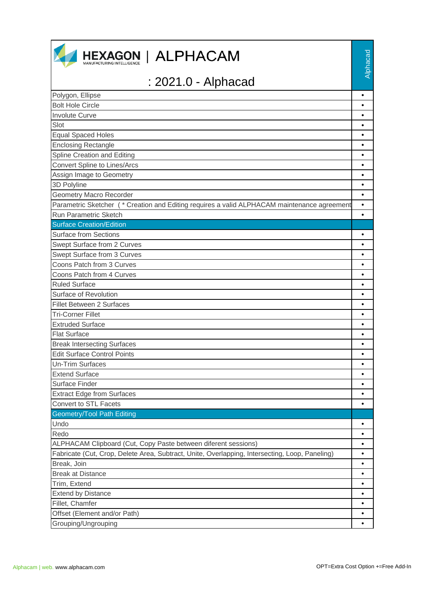| <b>HEXAGON   ALPHACAM</b>                                                                      | Alphacad  |
|------------------------------------------------------------------------------------------------|-----------|
| : 2021.0 - Alphacad                                                                            |           |
| Polygon, Ellipse                                                                               | $\bullet$ |
| <b>Bolt Hole Circle</b>                                                                        | ٠         |
| <b>Involute Curve</b>                                                                          | $\bullet$ |
| Slot                                                                                           | ٠         |
| <b>Equal Spaced Holes</b>                                                                      | ٠         |
| <b>Enclosing Rectangle</b>                                                                     | $\bullet$ |
| Spline Creation and Editing                                                                    | $\bullet$ |
| <b>Convert Spline to Lines/Arcs</b>                                                            | $\bullet$ |
| Assign Image to Geometry                                                                       | $\bullet$ |
| 3D Polyline                                                                                    | ٠         |
| <b>Geometry Macro Recorder</b>                                                                 | ٠         |
| Parametric Sketcher (* Creation and Editing requires a valid ALPHACAM maintenance agreement    | $\bullet$ |
| <b>Run Parametric Sketch</b>                                                                   | $\bullet$ |
| <b>Surface Creation/Edition</b>                                                                |           |
| <b>Surface from Sections</b>                                                                   | ٠         |
| Swept Surface from 2 Curves                                                                    | $\bullet$ |
| Swept Surface from 3 Curves                                                                    | ٠         |
| Coons Patch from 3 Curves                                                                      | $\bullet$ |
| <b>Coons Patch from 4 Curves</b>                                                               | $\bullet$ |
| <b>Ruled Surface</b>                                                                           |           |
| Surface of Revolution                                                                          | $\bullet$ |
| <b>Fillet Between 2 Surfaces</b>                                                               | $\bullet$ |
| Tri-Corner Fillet                                                                              | ٠         |
| <b>Extruded Surface</b>                                                                        | ٠         |
| <b>Flat Surface</b>                                                                            | ٠         |
| <b>Break Intersecting Surfaces</b>                                                             |           |
| <b>Edit Surface Control Points</b>                                                             |           |
| <b>Un-Trim Surfaces</b>                                                                        | $\bullet$ |
| <b>Extend Surface</b>                                                                          | $\bullet$ |
| <b>Surface Finder</b>                                                                          | $\bullet$ |
| <b>Extract Edge from Surfaces</b>                                                              | $\bullet$ |
| <b>Convert to STL Facets</b>                                                                   | $\bullet$ |
| <b>Geometry/Tool Path Editing</b>                                                              |           |
| Undo                                                                                           | $\bullet$ |
| Redo                                                                                           | $\bullet$ |
| ALPHACAM Clipboard (Cut, Copy Paste between diferent sessions)                                 | $\bullet$ |
| Fabricate (Cut, Crop, Delete Area, Subtract, Unite, Overlapping, Intersecting, Loop, Paneling) | $\bullet$ |
| Break, Join                                                                                    | $\bullet$ |
| <b>Break at Distance</b>                                                                       | $\bullet$ |
| Trim, Extend                                                                                   | $\bullet$ |
| <b>Extend by Distance</b>                                                                      | ٠         |
| Fillet, Chamfer                                                                                | $\bullet$ |
| Offset (Element and/or Path)                                                                   | $\bullet$ |
| Grouping/Ungrouping                                                                            | $\bullet$ |
|                                                                                                |           |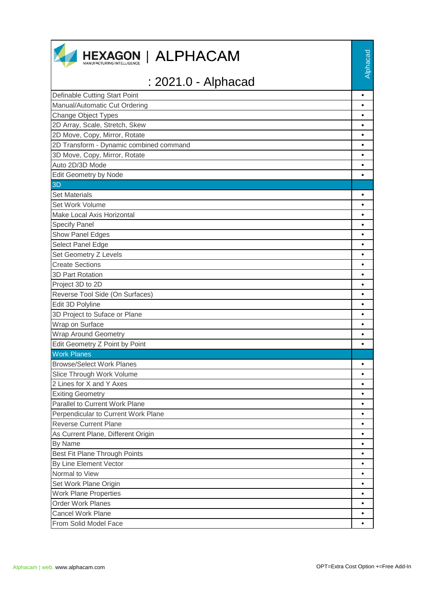| HEXAGON   ALPHACAM                      | Alphacad  |
|-----------------------------------------|-----------|
| : 2021.0 - Alphacad                     |           |
| Definable Cutting Start Point           | $\bullet$ |
| Manual/Automatic Cut Ordering           | ٠         |
| Change Object Types                     | $\bullet$ |
| 2D Array, Scale, Stretch, Skew          | ٠         |
| 2D Move, Copy, Mirror, Rotate           | $\bullet$ |
| 2D Transform - Dynamic combined command | $\bullet$ |
| 3D Move, Copy, Mirror, Rotate           | ٠         |
| Auto 2D/3D Mode                         | ٠         |
| Edit Geometry by Node                   | $\bullet$ |
| 3D                                      |           |
| <b>Set Materials</b>                    | ٠         |
| Set Work Volume                         | $\bullet$ |
| Make Local Axis Horizontal              | $\bullet$ |
| <b>Specify Panel</b>                    | ٠         |
| Show Panel Edges                        | ٠         |
| Select Panel Edge                       | ٠         |
| Set Geometry Z Levels                   |           |
| <b>Create Sections</b>                  | $\bullet$ |
| <b>3D Part Rotation</b>                 | $\bullet$ |
| Project 3D to 2D                        |           |
| Reverse Tool Side (On Surfaces)         | ٠         |
| Edit 3D Polyline                        | $\bullet$ |
| 3D Project to Suface or Plane           | ٠         |
| Wrap on Surface                         | $\bullet$ |
| Wrap Around Geometry                    | $\bullet$ |
| Edit Geometry Z Point by Point          |           |
| <b>Work Planes</b>                      |           |
| <b>Browse/Select Work Planes</b>        | ٠         |
| Slice Through Work Volume               | $\bullet$ |
| 2 Lines for X and Y Axes                | ٠         |
| <b>Exiting Geometry</b>                 | $\bullet$ |
| Parallel to Current Work Plane          | $\bullet$ |
| Perpendicular to Current Work Plane     | ٠         |
| <b>Reverse Current Plane</b>            | $\bullet$ |
| As Current Plane, Different Origin      | $\bullet$ |
| By Name                                 | ٠         |
| Best Fit Plane Through Points           | $\bullet$ |
| By Line Element Vector                  | $\bullet$ |
| Normal to View                          | ٠         |
| Set Work Plane Origin                   | $\bullet$ |
| <b>Work Plane Properties</b>            | $\bullet$ |
| <b>Order Work Planes</b>                | ٠         |
| <b>Cancel Work Plane</b>                | ٠         |
| From Solid Model Face                   | $\bullet$ |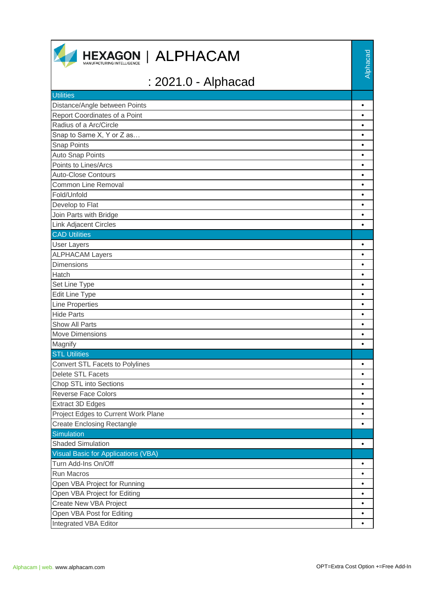| <b>HEXAGON   ALPHACAM</b>                              | Alphacad               |
|--------------------------------------------------------|------------------------|
| : 2021.0 - Alphacad                                    |                        |
| <b>Utilities</b>                                       |                        |
| Distance/Angle between Points                          | $\bullet$              |
| Report Coordinates of a Point                          | $\bullet$              |
| Radius of a Arc/Circle                                 | ٠                      |
| Snap to Same X, Y or Z as                              | $\bullet$              |
| Snap Points                                            | $\bullet$              |
| <b>Auto Snap Points</b>                                | $\bullet$              |
| Points to Lines/Arcs                                   | ٠                      |
| <b>Auto-Close Contours</b>                             | ٠                      |
| Common Line Removal                                    | $\bullet$              |
| Fold/Unfold                                            | ٠                      |
| Develop to Flat                                        | $\bullet$              |
| Join Parts with Bridge                                 | $\bullet$              |
| <b>Link Adjacent Circles</b>                           | ٠                      |
| <b>CAD Utilities</b>                                   |                        |
| <b>User Layers</b>                                     | ٠                      |
| <b>ALPHACAM Layers</b>                                 | ٠                      |
| <b>Dimensions</b>                                      | $\bullet$              |
| Hatch                                                  | $\bullet$              |
| Set Line Type                                          | $\bullet$              |
| Edit Line Type                                         | ٠                      |
| <b>Line Properties</b>                                 | $\bullet$              |
| <b>Hide Parts</b>                                      | $\bullet$              |
| Show All Parts                                         | $\bullet$              |
| Move Dimensions                                        | ٠                      |
| Magnify                                                |                        |
| <b>STL Utilities</b>                                   |                        |
| Convert STL Facets to Polylines                        | ٠                      |
| Delete STL Facets                                      | $\bullet$              |
| Chop STL into Sections                                 | $\bullet$              |
| <b>Reverse Face Colors</b>                             | $\bullet$              |
| Extract 3D Edges                                       | $\bullet$              |
| Project Edges to Current Work Plane                    | $\bullet$<br>$\bullet$ |
| <b>Create Enclosing Rectangle</b><br><b>Simulation</b> |                        |
| <b>Shaded Simulation</b>                               | $\bullet$              |
| Visual Basic for Applications (VBA)                    |                        |
| Turn Add-Ins On/Off                                    | ٠                      |
| Run Macros                                             | $\bullet$              |
| Open VBA Project for Running                           | $\bullet$              |
| Open VBA Project for Editing                           | $\bullet$              |
| Create New VBA Project                                 | $\bullet$              |
| Open VBA Post for Editing                              | $\bullet$              |
| Integrated VBA Editor                                  | $\bullet$              |
|                                                        |                        |